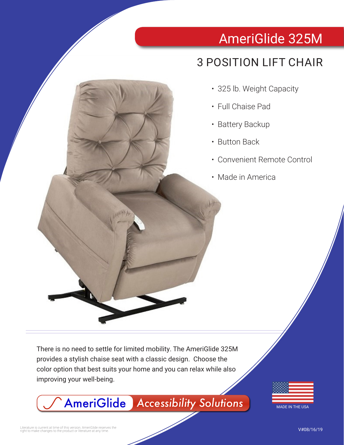# AmeriGlide 325M

## 3 POSITION LIFT CHAIR

- 325 lb. Weight Capacity
- Full Chaise Pad
- Battery Backup
- Button Back
- Convenient Remote Control
- Made in America

There is no need to settle for limited mobility. The AmeriGlide 325M provides a stylish chaise seat with a classic design. Choose the color option that best suits your home and you can relax while also improving your well-being.

AmeriGlide *Accessibility Solutions*



MADE IN THE USA

Literature is current at time of this version. AmeriGlide reserves the<br>right to make changes to the product or literature at any time.